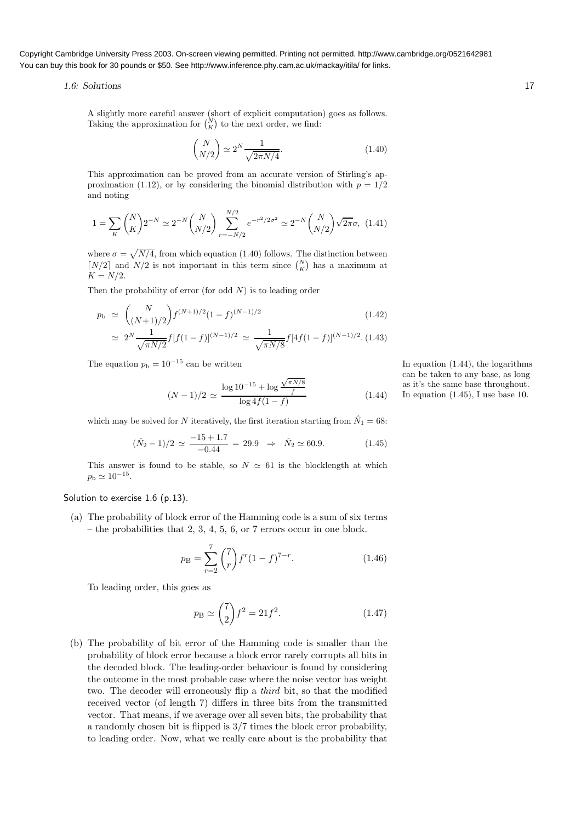### 1.6: Solutions 17

A slightly more careful answer (short of explicit computation) goes as follows. Taking the approximation for  $\binom{N}{K}$  to the next order, we find:

$$
\binom{N}{N/2} \simeq 2^N \frac{1}{\sqrt{2\pi N/4}}.\tag{1.40}
$$

This approximation can be proved from an accurate version of Stirling's approximation (1.12), or by considering the binomial distribution with  $p = 1/2$ and noting

$$
1 = \sum_{K} {N \choose K} 2^{-N} \simeq 2^{-N} {N \choose N/2} \sum_{r=-N/2}^{N/2} e^{-r^2/2\sigma^2} \simeq 2^{-N} {N \choose N/2} \sqrt{2\pi}\sigma, \tag{1.41}
$$

where  $\sigma = \sqrt{N/4}$ , from which equation (1.40) follows. The distinction between [ $N/2$ ] and  $N/2$  is not important in this term since  $\binom{N}{K}$  has a maximum at  $K = N/2$ .

Then the probability of error (for odd  $N$ ) is to leading order

$$
p_{\rm b} \simeq {N \choose (N+1)/2} f^{(N+1)/2} (1-f)^{(N-1)/2} \qquad (1.42)
$$
  

$$
\simeq 2^N \frac{1}{\sqrt{\pi N/2}} f[f(1-f)]^{(N-1)/2} \simeq \frac{1}{\sqrt{\pi N/8}} f[4f(1-f)]^{(N-1)/2} . (1.43)
$$

The equation  $p_b = 10^{-15}$  can be written In equation (1.44), the logarithms

$$
(N-1)/2 \simeq \frac{\log 10^{-15} + \log \frac{\sqrt{\pi N/8}}{f}}{\log 4f(1-f)}
$$
(1.44)

which may be solved for N iteratively, the first iteration starting from  $\hat{N}_1 = 68$ :

$$
(\hat{N}_2 - 1)/2 \simeq \frac{-15 + 1.7}{-0.44} = 29.9 \Rightarrow \hat{N}_2 \simeq 60.9. \tag{1.45}
$$

This answer is found to be stable, so  $N \simeq 61$  is the blocklength at which  $p_{\rm b} \simeq 10^{-15}$ .

### Solution to exercise 1.6 (p.13).

(a) The probability of block error of the Hamming code is a sum of six terms – the probabilities that 2, 3, 4, 5, 6, or 7 errors occur in one block.

$$
p_{\rm B} = \sum_{r=2}^{7} {7 \choose r} f^r (1-f)^{7-r}.
$$
 (1.46)

To leading order, this goes as

$$
p_{\rm B} \simeq \binom{7}{2} f^2 = 21f^2. \tag{1.47}
$$

(b) The probability of bit error of the Hamming code is smaller than the probability of block error because a block error rarely corrupts all bits in the decoded block. The leading-order behaviour is found by considering the outcome in the most probable case where the noise vector has weight two. The decoder will erroneously flip a third bit, so that the modified received vector (of length 7) differs in three bits from the transmitted vector. That means, if we average over all seven bits, the probability that a randomly chosen bit is flipped is 3/7 times the block error probability, to leading order. Now, what we really care about is the probability that can be taken to any base, as long as it's the same base throughout. In equation  $(1.45)$ , I use base 10.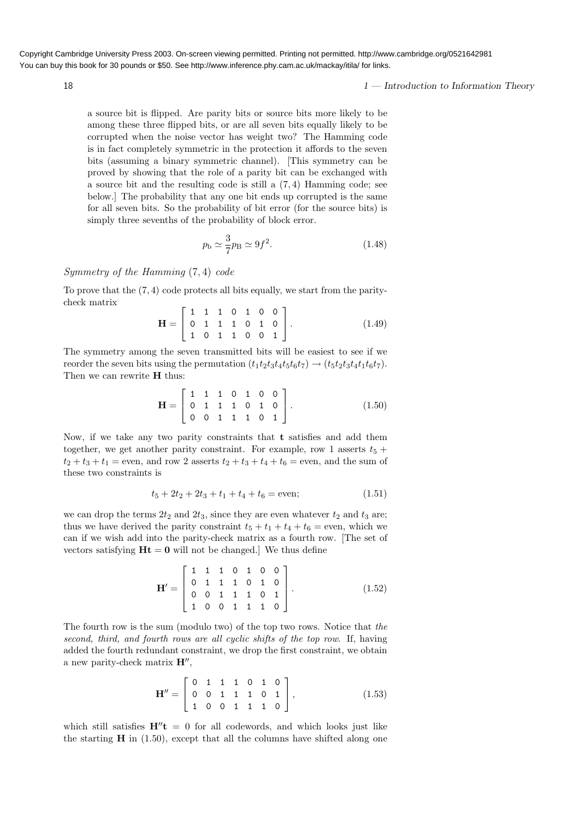18 1 — Introduction to Information Theory

a source bit is flipped. Are parity bits or source bits more likely to be among these three flipped bits, or are all seven bits equally likely to be corrupted when the noise vector has weight two? The Hamming code is in fact completely symmetric in the protection it affords to the seven bits (assuming a binary symmetric channel). [This symmetry can be proved by showing that the role of a parity bit can be exchanged with a source bit and the resulting code is still a (7, 4) Hamming code; see below.] The probability that any one bit ends up corrupted is the same for all seven bits. So the probability of bit error (for the source bits) is simply three sevenths of the probability of block error.

$$
p_{\rm b} \simeq \frac{3}{7} p_{\rm B} \simeq 9f^2. \tag{1.48}
$$

# Symmetry of the Hamming (7, 4) code

To prove that the (7, 4) code protects all bits equally, we start from the paritycheck matrix

$$
\mathbf{H} = \left[ \begin{array}{cccccc} 1 & 1 & 1 & 0 & 1 & 0 & 0 \\ 0 & 1 & 1 & 1 & 0 & 1 & 0 \\ 1 & 0 & 1 & 1 & 0 & 0 & 1 \end{array} \right]. \tag{1.49}
$$

The symmetry among the seven transmitted bits will be easiest to see if we reorder the seven bits using the permutation  $(t_1t_2t_3t_4t_5t_6t_7) \rightarrow (t_5t_2t_3t_4t_1t_6t_7)$ . Then we can rewrite **H** thus:

$$
\mathbf{H} = \left[ \begin{array}{cccccc} 1 & 1 & 1 & 0 & 1 & 0 & 0 \\ 0 & 1 & 1 & 1 & 0 & 1 & 0 \\ 0 & 0 & 1 & 1 & 1 & 0 & 1 \end{array} \right].
$$
 (1.50)

Now, if we take any two parity constraints that t satisfies and add them together, we get another parity constraint. For example, row 1 asserts  $t_5 +$  $t_2 + t_3 + t_1 =$  even, and row 2 asserts  $t_2 + t_3 + t_4 + t_6 =$  even, and the sum of these two constraints is

$$
t_5 + 2t_2 + 2t_3 + t_1 + t_4 + t_6 = \text{even};\tag{1.51}
$$

we can drop the terms  $2t_2$  and  $2t_3$ , since they are even whatever  $t_2$  and  $t_3$  are; thus we have derived the parity constraint  $t_5 + t_1 + t_4 + t_6 =$  even, which we can if we wish add into the parity-check matrix as a fourth row. [The set of vectors satisfying  $\mathbf{Ht} = \mathbf{0}$  will not be changed. We thus define

$$
\mathbf{H}' = \begin{bmatrix} 1 & 1 & 1 & 0 & 1 & 0 & 0 \\ 0 & 1 & 1 & 1 & 0 & 1 & 0 \\ 0 & 0 & 1 & 1 & 1 & 0 & 1 \\ 1 & 0 & 0 & 1 & 1 & 1 & 0 \end{bmatrix} .
$$
 (1.52)

The fourth row is the sum (modulo two) of the top two rows. Notice that the second, third, and fourth rows are all cyclic shifts of the top row. If, having added the fourth redundant constraint, we drop the first constraint, we obtain a new parity-check matrix  $\mathbf{H}^{\prime\prime}$ ,

$$
\mathbf{H}'' = \left[ \begin{array}{cccccc} 0 & 1 & 1 & 1 & 0 & 1 & 0 \\ 0 & 0 & 1 & 1 & 1 & 0 & 1 \\ 1 & 0 & 0 & 1 & 1 & 1 & 0 \end{array} \right],
$$
 (1.53)

which still satisfies  $H''t = 0$  for all codewords, and which looks just like the starting  $\bf{H}$  in (1.50), except that all the columns have shifted along one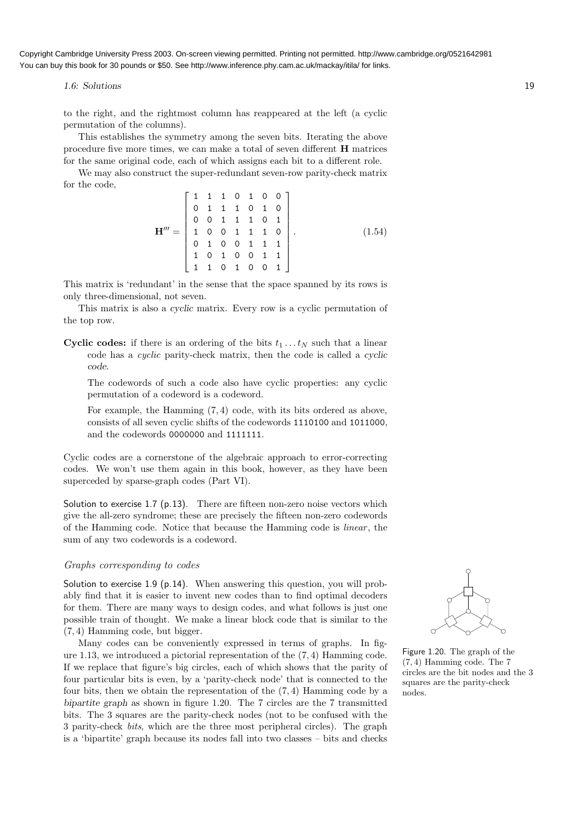1.6: Solutions 19

to the right, and the rightmost column has reappeared at the left (a cyclic permutation of the columns).

This establishes the symmetry among the seven bits. Iterating the above procedure five more times, we can make a total of seven different H matrices for the same original code, each of which assigns each bit to a different role.

We may also construct the super-redundant seven-row parity-check matrix for the code,

$$
\mathbf{H}^{\prime\prime\prime} = \begin{bmatrix} 1 & 1 & 1 & 0 & 1 & 0 & 0 \\ 0 & 1 & 1 & 1 & 0 & 1 & 0 \\ 0 & 0 & 1 & 1 & 1 & 0 & 1 \\ 1 & 0 & 0 & 1 & 1 & 1 & 0 \\ 0 & 1 & 0 & 0 & 1 & 1 & 1 \\ 1 & 0 & 1 & 0 & 0 & 1 & 1 \\ 1 & 1 & 0 & 1 & 0 & 0 & 1 \end{bmatrix} . \tag{1.54}
$$

This matrix is 'redundant' in the sense that the space spanned by its rows is only three-dimensional, not seven.

This matrix is also a cyclic matrix. Every row is a cyclic permutation of the top row.

**Cyclic codes:** if there is an ordering of the bits  $t_1 \dots t_N$  such that a linear code has a cyclic parity-check matrix, then the code is called a cyclic code.

The codewords of such a code also have cyclic properties: any cyclic permutation of a codeword is a codeword.

For example, the Hamming (7, 4) code, with its bits ordered as above, consists of all seven cyclic shifts of the codewords 1110100 and 1011000, and the codewords 0000000 and 1111111.

Cyclic codes are a cornerstone of the algebraic approach to error-correcting codes. We won't use them again in this book, however, as they have been superceded by sparse-graph codes (Part VI).

Solution to exercise 1.7 (p.13). There are fifteen non-zero noise vectors which give the all-zero syndrome; these are precisely the fifteen non-zero codewords of the Hamming code. Notice that because the Hamming code is linear , the sum of any two codewords is a codeword.

## Graphs corresponding to codes

Solution to exercise 1.9 (p.14). When answering this question, you will probably find that it is easier to invent new codes than to find optimal decoders for them. There are many ways to design codes, and what follows is just one possible train of thought. We make a linear block code that is similar to the (7, 4) Hamming code, but bigger.

Many codes can be conveniently expressed in terms of graphs. In figure 1.13, we introduced a pictorial representation of the (7, 4) Hamming code. If we replace that figure's big circles, each of which shows that the parity of four particular bits is even, by a 'parity-check node' that is connected to the four bits, then we obtain the representation of the (7, 4) Hamming code by a bipartite graph as shown in figure 1.20. The 7 circles are the 7 transmitted bits. The 3 squares are the parity-check nodes (not to be confused with the 3 parity-check bits, which are the three most peripheral circles). The graph is a 'bipartite' graph because its nodes fall into two classes – bits and checks



Figure 1.20. The graph of the (7, 4) Hamming code. The 7 circles are the bit nodes and the 3 squares are the parity-check nodes.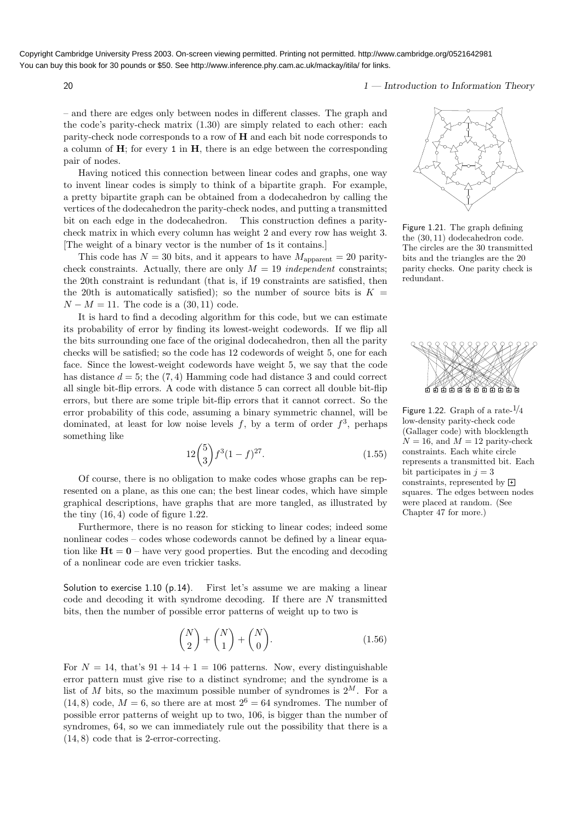20 1 — Introduction to Information Theory

– and there are edges only between nodes in different classes. The graph and the code's parity-check matrix (1.30) are simply related to each other: each parity-check node corresponds to a row of  $H$  and each bit node corresponds to a column of  $H$ ; for every 1 in  $H$ , there is an edge between the corresponding pair of nodes.

Having noticed this connection between linear codes and graphs, one way to invent linear codes is simply to think of a bipartite graph. For example, a pretty bipartite graph can be obtained from a dodecahedron by calling the vertices of the dodecahedron the parity-check nodes, and putting a transmitted bit on each edge in the dodecahedron. This construction defines a paritycheck matrix in which every column has weight 2 and every row has weight 3. [The weight of a binary vector is the number of 1s it contains.]

This code has  $N = 30$  bits, and it appears to have  $M_{\rm apparent} = 20$  paritycheck constraints. Actually, there are only  $M = 19$  independent constraints; the 20th constraint is redundant (that is, if 19 constraints are satisfied, then the 20th is automatically satisfied); so the number of source bits is  $K =$  $N - M = 11$ . The code is a (30, 11) code.

It is hard to find a decoding algorithm for this code, but we can estimate its probability of error by finding its lowest-weight codewords. If we flip all the bits surrounding one face of the original dodecahedron, then all the parity checks will be satisfied; so the code has 12 codewords of weight 5, one for each face. Since the lowest-weight codewords have weight 5, we say that the code has distance  $d = 5$ ; the  $(7, 4)$  Hamming code had distance 3 and could correct all single bit-flip errors. A code with distance 5 can correct all double bit-flip errors, but there are some triple bit-flip errors that it cannot correct. So the error probability of this code, assuming a binary symmetric channel, will be dominated, at least for low noise levels  $f$ , by a term of order  $f^3$ , perhaps something like

$$
12\binom{5}{3}f^3(1-f)^{27}.\tag{1.55}
$$

Of course, there is no obligation to make codes whose graphs can be represented on a plane, as this one can; the best linear codes, which have simple graphical descriptions, have graphs that are more tangled, as illustrated by the tiny  $(16, 4)$  code of figure 1.22.

Furthermore, there is no reason for sticking to linear codes; indeed some nonlinear codes – codes whose codewords cannot be defined by a linear equation like  $Ht = 0$  – have very good properties. But the encoding and decoding of a nonlinear code are even trickier tasks.

Solution to exercise 1.10 (p.14). First let's assume we are making a linear code and decoding it with syndrome decoding. If there are N transmitted bits, then the number of possible error patterns of weight up to two is

$$
\binom{N}{2} + \binom{N}{1} + \binom{N}{0}.\tag{1.56}
$$

For  $N = 14$ , that's  $91 + 14 + 1 = 106$  patterns. Now, every distinguishable error pattern must give rise to a distinct syndrome; and the syndrome is a list of M bits, so the maximum possible number of syndromes is  $2^M$ . For a  $(14, 8)$  code,  $M = 6$ , so there are at most  $2^6 = 64$  syndromes. The number of possible error patterns of weight up to two, 106, is bigger than the number of syndromes, 64, so we can immediately rule out the possibility that there is a (14, 8) code that is 2-error-correcting.



Figure 1.21. The graph defining the (30, 11) dodecahedron code. The circles are the 30 transmitted bits and the triangles are the 20 parity checks. One parity check is redundant.



Figure 1.22. Graph of a rate- $\frac{1}{4}$ low-density parity-check code (Gallager code) with blocklength  $N = 16$ , and  $M = 12$  parity-check constraints. Each white circle represents a transmitted bit. Each bit participates in  $j = 3$ constraints, represented by  $\Box$ squares. The edges between nodes were placed at random. (See Chapter 47 for more.)